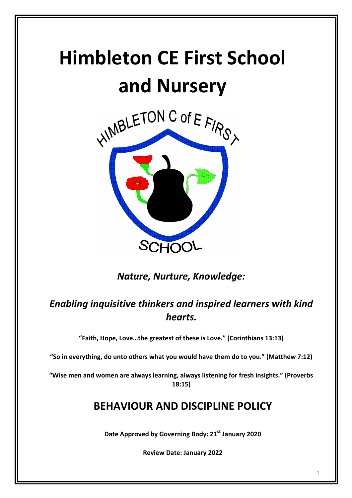# **Himbleton CE First School and Nursery**



**Nature, Nurture, Knowledge:** 

## **Enabling inquisitive thinkers and inspired learners with kind** *hearts.*

"Faith, Hope, Love...the greatest of these is Love." (Corinthians 13:13)

"So in everything, do unto others what you would have them do to you." (Matthew 7:12)

"Wise men and women are always learning, always listening for fresh insights." (Proverbs **18:15)**

### **BEHAVIOUR AND DISCIPLINE POLICY**

Date Approved by Governing Body: 21<sup>st</sup> January 2020

**Review Date: January 2022**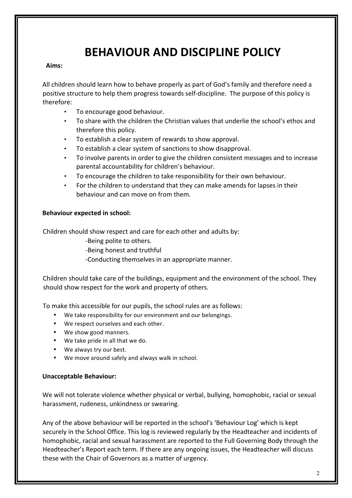## **BEHAVIOUR AND DISCIPLINE POLICY**

#### **Aims:**

All children should learn how to behave properly as part of God's family and therefore need a positive structure to help them progress towards self-discipline. The purpose of this policy is therefore: 

- To encourage good behaviour.
- To share with the children the Christian values that underlie the school's ethos and therefore this policy.
- To establish a clear system of rewards to show approval.
- To establish a clear system of sanctions to show disapproval.
- To involve parents in order to give the children consistent messages and to increase parental accountability for children's behaviour.
- To encourage the children to take responsibility for their own behaviour.
- For the children to understand that they can make amends for lapses in their behaviour and can move on from them.

#### **Behaviour expected in school:**

Children should show respect and care for each other and adults by:

-Being polite to others.

-Being honest and truthful

-Conducting themselves in an appropriate manner.

Children should take care of the buildings, equipment and the environment of the school. They should show respect for the work and property of others.

To make this accessible for our pupils, the school rules are as follows:

- We take responsibility for our environment and our belongings.
- We respect ourselves and each other.
- We show good manners.
- We take pride in all that we do.
- We always try our best.
- We move around safely and always walk in school.

#### **Unacceptable Behaviour:**

We will not tolerate violence whether physical or verbal, bullying, homophobic, racial or sexual harassment, rudeness, unkindness or swearing.

Any of the above behaviour will be reported in the school's 'Behaviour Log' which is kept securely in the School Office. This log is reviewed regularly by the Headteacher and incidents of homophobic, racial and sexual harassment are reported to the Full Governing Body through the Headteacher's Report each term. If there are any ongoing issues, the Headteacher will discuss these with the Chair of Governors as a matter of urgency.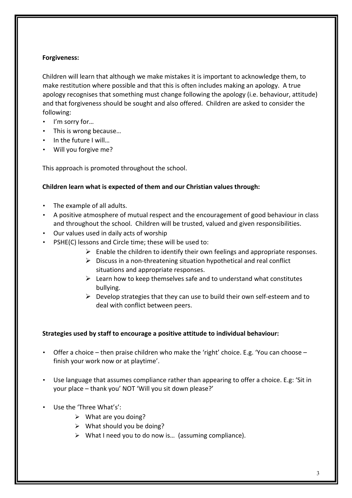#### **Forgiveness:**

Children will learn that although we make mistakes it is important to acknowledge them, to make restitution where possible and that this is often includes making an apology. A true apology recognises that something must change following the apology (i.e. behaviour, attitude) and that forgiveness should be sought and also offered. Children are asked to consider the following: 

- I'm sorry for...
- This is wrong because...
- In the future I will...
- Will you forgive me?

This approach is promoted throughout the school.

#### Children learn what is expected of them and our Christian values through:

- $\cdot$  The example of all adults.
- A positive atmosphere of mutual respect and the encouragement of good behaviour in class and throughout the school. Children will be trusted, valued and given responsibilities.
- Our values used in daily acts of worship
- PSHE(C) lessons and Circle time; these will be used to:
	- $\triangleright$  Enable the children to identify their own feelings and appropriate responses.
	- $\triangleright$  Discuss in a non-threatening situation hypothetical and real conflict situations and appropriate responses.
	- $\triangleright$  Learn how to keep themselves safe and to understand what constitutes bullying.
	- $\triangleright$  Develop strategies that they can use to build their own self-esteem and to deal with conflict between peers.

#### **Strategies used by staff to encourage a positive attitude to individual behaviour:**

- Offer a choice then praise children who make the 'right' choice. E.g. 'You can choose finish your work now or at playtime'.
- Use language that assumes compliance rather than appearing to offer a choice. E.g: 'Sit in your place – thank you' NOT 'Will you sit down please?'
- Use the 'Three What's':
	- $\triangleright$  What are you doing?
	- $\triangleright$  What should you be doing?
	- $\triangleright$  What I need you to do now is... (assuming compliance).